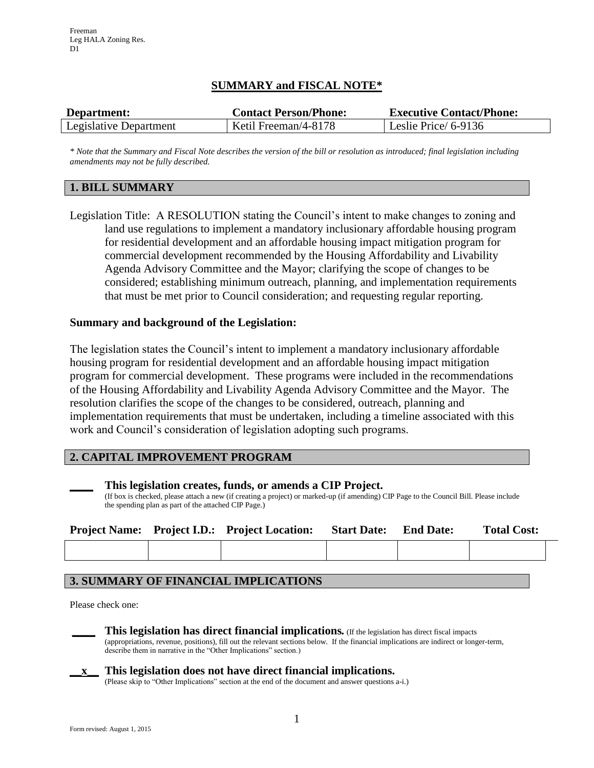# **SUMMARY and FISCAL NOTE\***

| Department:            | <b>Contact Person/Phone:</b> | <b>Executive Contact/Phone:</b> |  |  |
|------------------------|------------------------------|---------------------------------|--|--|
| Legislative Department | Ketil Freeman/4-8178         | Leslie Price/ 6-9136            |  |  |

*\* Note that the Summary and Fiscal Note describes the version of the bill or resolution as introduced; final legislation including amendments may not be fully described.*

## **1. BILL SUMMARY**

Legislation Title: A RESOLUTION stating the Council's intent to make changes to zoning and land use regulations to implement a mandatory inclusionary affordable housing program for residential development and an affordable housing impact mitigation program for commercial development recommended by the Housing Affordability and Livability Agenda Advisory Committee and the Mayor; clarifying the scope of changes to be considered; establishing minimum outreach, planning, and implementation requirements that must be met prior to Council consideration; and requesting regular reporting.

## **Summary and background of the Legislation:**

The legislation states the Council's intent to implement a mandatory inclusionary affordable housing program for residential development and an affordable housing impact mitigation program for commercial development. These programs were included in the recommendations of the Housing Affordability and Livability Agenda Advisory Committee and the Mayor. The resolution clarifies the scope of the changes to be considered, outreach, planning and implementation requirements that must be undertaken, including a timeline associated with this work and Council's consideration of legislation adopting such programs.

## **2. CAPITAL IMPROVEMENT PROGRAM**

| This legislation creates, funds, or amends a CIP Project. |  |  |
|-----------------------------------------------------------|--|--|
|                                                           |  |  |

(If box is checked, please attach a new (if creating a project) or marked-up (if amending) CIP Page to the Council Bill. Please include the spending plan as part of the attached CIP Page.)

|  | <b>Project Name:</b> Project I.D.: Project Location: | <b>Start Date:</b> | <b>End Date:</b> | <b>Total Cost:</b> |
|--|------------------------------------------------------|--------------------|------------------|--------------------|
|  |                                                      |                    |                  |                    |

## **3. SUMMARY OF FINANCIAL IMPLICATIONS**

Please check one:

**\_\_\_\_ This legislation has direct financial implications***.* (If the legislation has direct fiscal impacts (appropriations, revenue, positions), fill out the relevant sections below. If the financial implications are indirect or longer-term,

describe them in narrative in the "Other Implications" section.)



## **\_\_x\_\_ This legislation does not have direct financial implications.**

(Please skip to "Other Implications" section at the end of the document and answer questions a-i.)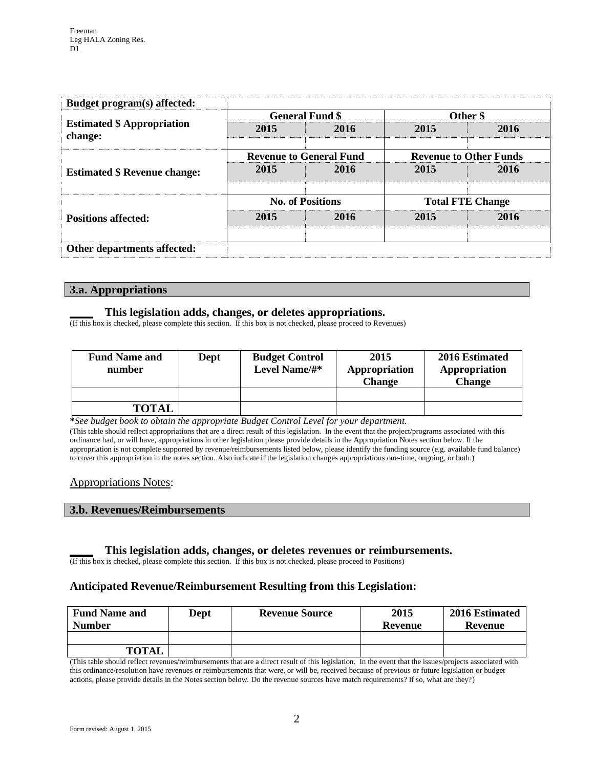| Budget program(s) affected:                  |      |                                |                               |      |  |
|----------------------------------------------|------|--------------------------------|-------------------------------|------|--|
|                                              |      | <b>General Fund \$</b>         | Other \$                      |      |  |
| <b>Estimated \$ Appropriation</b><br>change: | 2015 | 2016                           | 2015                          | 2016 |  |
|                                              |      | <b>Revenue to General Fund</b> | <b>Revenue to Other Funds</b> |      |  |
| <b>Estimated \$ Revenue change:</b>          | 2015 | 2016                           | 2015                          | 2016 |  |
| <b>Positions affected:</b>                   |      | <b>No. of Positions</b>        | <b>Total FTE Change</b>       |      |  |
|                                              | 2015 | 2016                           | 2015                          | 2016 |  |
|                                              |      |                                |                               |      |  |
| Other departments affected:                  |      |                                |                               |      |  |

### **3.a. Appropriations**

### **\_\_\_\_ This legislation adds, changes, or deletes appropriations.**

(If this box is checked, please complete this section. If this box is not checked, please proceed to Revenues)

| <b>Fund Name and</b><br>number | Dept | <b>Budget Control</b><br>Level Name/#* | 2015<br>Appropriation<br>Change | 2016 Estimated<br>Appropriation<br><b>Change</b> |
|--------------------------------|------|----------------------------------------|---------------------------------|--------------------------------------------------|
| <b>TOTAL</b>                   |      |                                        |                                 |                                                  |

**\****See budget book to obtain the appropriate Budget Control Level for your department.*

(This table should reflect appropriations that are a direct result of this legislation. In the event that the project/programs associated with this ordinance had, or will have, appropriations in other legislation please provide details in the Appropriation Notes section below. If the appropriation is not complete supported by revenue/reimbursements listed below, please identify the funding source (e.g. available fund balance) to cover this appropriation in the notes section. Also indicate if the legislation changes appropriations one-time, ongoing, or both.)

#### Appropriations Notes:

#### **3.b. Revenues/Reimbursements**

#### **\_\_\_\_ This legislation adds, changes, or deletes revenues or reimbursements.**

(If this box is checked, please complete this section. If this box is not checked, please proceed to Positions)

## **Anticipated Revenue/Reimbursement Resulting from this Legislation:**

| <b>Fund Name and</b><br><b>Number</b> | <b>Revenue Source</b><br>Dept |  | 2015<br>Revenue | 2016 Estimated<br>Revenue |
|---------------------------------------|-------------------------------|--|-----------------|---------------------------|
|                                       |                               |  |                 |                           |
| <b>TOTAL</b>                          |                               |  |                 |                           |

(This table should reflect revenues/reimbursements that are a direct result of this legislation. In the event that the issues/projects associated with this ordinance/resolution have revenues or reimbursements that were, or will be, received because of previous or future legislation or budget actions, please provide details in the Notes section below. Do the revenue sources have match requirements? If so, what are they?)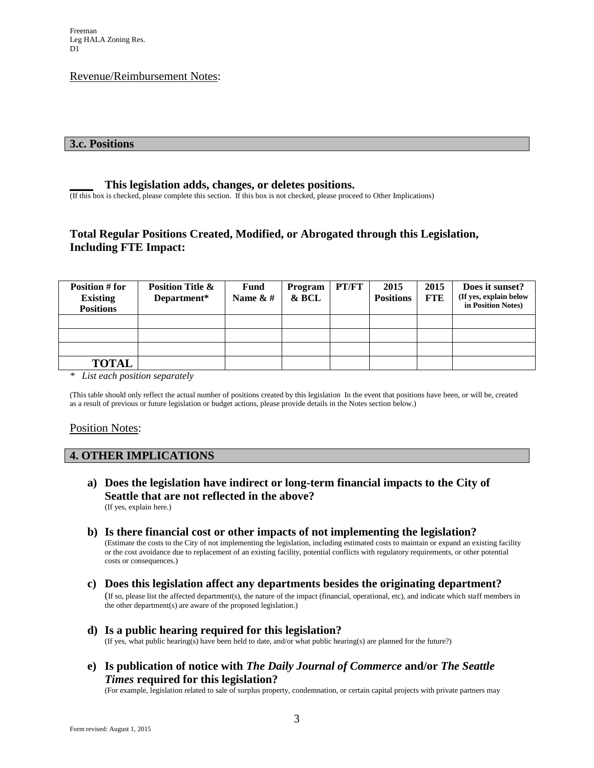### Revenue/Reimbursement Notes:

#### **3.c. Positions**

### **\_\_\_\_ This legislation adds, changes, or deletes positions.**

(If this box is checked, please complete this section. If this box is not checked, please proceed to Other Implications)

# **Total Regular Positions Created, Modified, or Abrogated through this Legislation, Including FTE Impact:**

| <b>Position # for</b><br><b>Existing</b><br><b>Positions</b> | <b>Position Title &amp;</b><br>Department* | <b>Fund</b><br>Name $\&$ # | Program<br>& BCL | PT/FT | 2015<br><b>Positions</b> | 2015<br><b>FTE</b> | Does it sunset?<br>(If yes, explain below<br>in Position Notes) |
|--------------------------------------------------------------|--------------------------------------------|----------------------------|------------------|-------|--------------------------|--------------------|-----------------------------------------------------------------|
|                                                              |                                            |                            |                  |       |                          |                    |                                                                 |
|                                                              |                                            |                            |                  |       |                          |                    |                                                                 |
|                                                              |                                            |                            |                  |       |                          |                    |                                                                 |
| <b>TOTAL</b>                                                 |                                            |                            |                  |       |                          |                    |                                                                 |

*\* List each position separately*

(This table should only reflect the actual number of positions created by this legislation In the event that positions have been, or will be, created as a result of previous or future legislation or budget actions, please provide details in the Notes section below.)

#### Position Notes:

#### **4. OTHER IMPLICATIONS**

- **a) Does the legislation have indirect or long-term financial impacts to the City of Seattle that are not reflected in the above?** (If yes, explain here.)
- **b) Is there financial cost or other impacts of not implementing the legislation?** (Estimate the costs to the City of not implementing the legislation, including estimated costs to maintain or expand an existing facility or the cost avoidance due to replacement of an existing facility, potential conflicts with regulatory requirements, or other potential costs or consequences.)
- **c) Does this legislation affect any departments besides the originating department?**  (If so, please list the affected department(s), the nature of the impact (financial, operational, etc), and indicate which staff members in the other department(s) are aware of the proposed legislation.)
- **d) Is a public hearing required for this legislation?**  (If yes, what public hearing(s) have been held to date, and/or what public hearing(s) are planned for the future?)
- **e) Is publication of notice with** *The Daily Journal of Commerce* **and/or** *The Seattle Times* **required for this legislation?**

(For example, legislation related to sale of surplus property, condemnation, or certain capital projects with private partners may